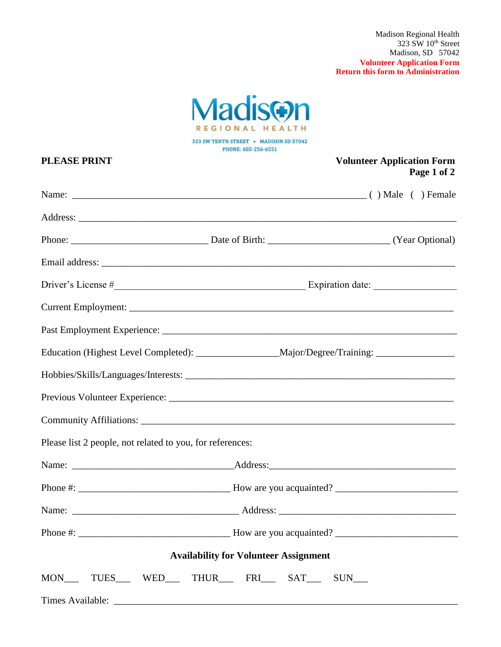Madison Regional Health  $323$  SW  $10^{\rm th}$  Street Madison, SD 57042 **Volunteer Application Form Return this form to Administration**



323 SW TENTH STREET • MADISON SD 57042 PHONE: 605-256-6551

| <b>PLEASE PRINT</b>                                       | <b>Volunteer Application Form</b><br>Page 1 of 2                                                     |
|-----------------------------------------------------------|------------------------------------------------------------------------------------------------------|
|                                                           |                                                                                                      |
|                                                           |                                                                                                      |
|                                                           |                                                                                                      |
|                                                           |                                                                                                      |
|                                                           |                                                                                                      |
|                                                           |                                                                                                      |
|                                                           |                                                                                                      |
|                                                           | Education (Highest Level Completed): _______________________Major/Degree/Training: _________________ |
|                                                           |                                                                                                      |
|                                                           |                                                                                                      |
|                                                           | Community Affiliations:                                                                              |
| Please list 2 people, not related to you, for references: |                                                                                                      |
|                                                           |                                                                                                      |
|                                                           |                                                                                                      |
|                                                           |                                                                                                      |
|                                                           |                                                                                                      |
|                                                           | <b>Availability for Volunteer Assignment</b>                                                         |
|                                                           | MON_____TUES______WED_____THUR______FRI______SAT______SUN____                                        |
|                                                           |                                                                                                      |